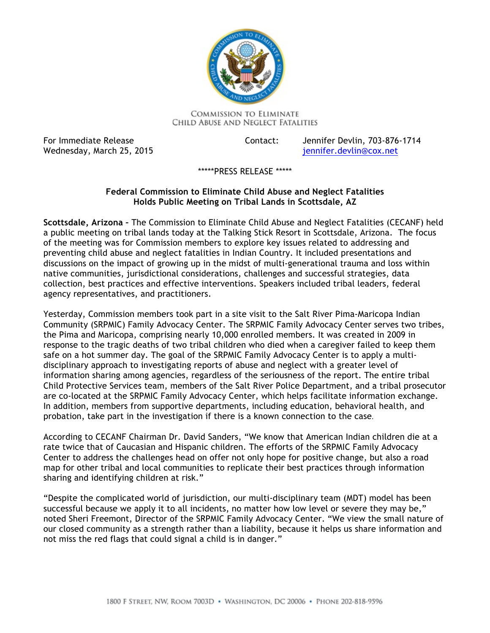

**COMMISSION TO ELIMINATE** CHILD ABUSE AND NEGLECT FATALITIES

For Immediate Release Wednesday, March 25, 2015 jennifer.devlin@cox.net

Contact: Jennifer Devlin, 703-876-1714

\*\*\*\*\*PRESS RELEASE \*\*\*\*\*

## **Holds Public Meeting on Tribal Lands in Scottsdale, AZ Federal Commission to Eliminate Child Abuse and Neglect Fatalities**

 **Scottsdale, Arizona –** The Commission to Eliminate Child Abuse and Neglect Fatalities (CECANF) held a public meeting on tribal lands today at the Talking Stick Resort in Scottsdale, Arizona. The focus of the meeting was for Commission members to explore key issues related to addressing and preventing child abuse and neglect fatalities in Indian Country. It included presentations and discussions on the impact of growing up in the midst of multi-generational trauma and loss within native communities, jurisdictional considerations, challenges and successful strategies, data collection, best practices and effective interventions. Speakers included tribal leaders, federal agency representatives, and practitioners.

 Yesterday, Commission members took part in a site visit to the Salt River Pima-Maricopa Indian Community (SRPMIC) Family Advocacy Center. The SRPMIC Family Advocacy Center serves two tribes, the Pima and Maricopa, comprising nearly 10,000 enrolled members. It was created in 2009 in response to the tragic deaths of two tribal children who died when a caregiver failed to keep them safe on a hot summer day. The goal of the SRPMIC Family Advocacy Center is to apply a multi- disciplinary approach to investigating reports of abuse and neglect with a greater level of Child Protective Services team, members of the Salt River Police Department, and a tribal prosecutor In addition, members from supportive departments, including education, behavioral health, and probation, take part in the investigation if there is a known connection to the case. information sharing among agencies, regardless of the seriousness of the report. The entire tribal are co-located at the SRPMIC Family Advocacy Center, which helps facilitate information exchange.

 According to CECANF Chairman Dr. David Sanders, "We know that American Indian children die at a rate twice that of Caucasian and Hispanic children. The efforts of the SRPMIC Family Advocacy Center to address the challenges head on offer not only hope for positive change, but also a road map for other tribal and local communities to replicate their best practices through information sharing and identifying children at risk."

 "Despite the complicated world of jurisdiction, our multi-disciplinary team (MDT) model has been successful because we apply it to all incidents, no matter how low level or severe they may be," noted Sheri Freemont, Director of the SRPMIC Family Advocacy Center. "We view the small nature of our closed community as a strength rather than a liability, because it helps us share information and not miss the red flags that could signal a child is in danger."